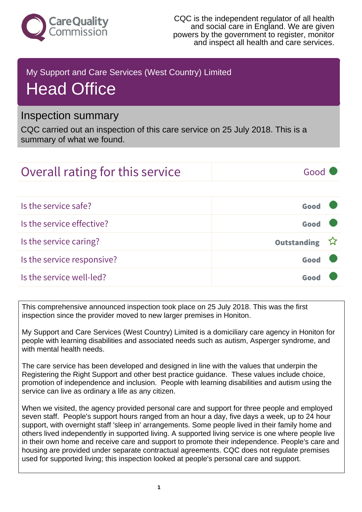

CQC is the independent regulator of all health and social care in England. We are given powers by the government to register, monitor and inspect all health and care services.

## My Support and Care Services (West Country) Limited Head Office

## Inspection summary

CQC carried out an inspection of this care service on 25 July 2018. This is a summary of what we found.

## Overall rating for this service and all the Good Is the service safe? Good Is the service effective? Good Is the service caring? The service caring outstanding in the service caring outstanding Is the service responsive? Good

Is the service well-led? Good

This comprehensive announced inspection took place on 25 July 2018. This was the first inspection since the provider moved to new larger premises in Honiton.

My Support and Care Services (West Country) Limited is a domiciliary care agency in Honiton for people with learning disabilities and associated needs such as autism, Asperger syndrome, and with mental health needs.

The care service has been developed and designed in line with the values that underpin the Registering the Right Support and other best practice guidance. These values include choice, promotion of independence and inclusion. People with learning disabilities and autism using the service can live as ordinary a life as any citizen.

When we visited, the agency provided personal care and support for three people and employed seven staff. People's support hours ranged from an hour a day, five days a week, up to 24 hour support, with overnight staff 'sleep in' arrangements. Some people lived in their family home and others lived independently in supported living. A supported living service is one where people live in their own home and receive care and support to promote their independence. People's care and housing are provided under separate contractual agreements. CQC does not regulate premises used for supported living; this inspection looked at people's personal care and support.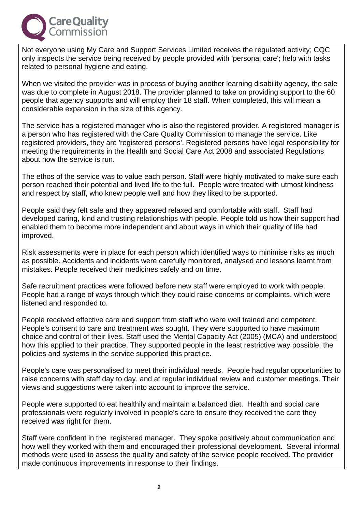

Not everyone using My Care and Support Services Limited receives the regulated activity; CQC only inspects the service being received by people provided with 'personal care'; help with tasks related to personal hygiene and eating.

When we visited the provider was in process of buying another learning disability agency, the sale was due to complete in August 2018. The provider planned to take on providing support to the 60 people that agency supports and will employ their 18 staff. When completed, this will mean a considerable expansion in the size of this agency.

The service has a registered manager who is also the registered provider. A registered manager is a person who has registered with the Care Quality Commission to manage the service. Like registered providers, they are 'registered persons'. Registered persons have legal responsibility for meeting the requirements in the Health and Social Care Act 2008 and associated Regulations about how the service is run.

The ethos of the service was to value each person. Staff were highly motivated to make sure each person reached their potential and lived life to the full. People were treated with utmost kindness and respect by staff, who knew people well and how they liked to be supported.

People said they felt safe and they appeared relaxed and comfortable with staff. Staff had developed caring, kind and trusting relationships with people. People told us how their support had enabled them to become more independent and about ways in which their quality of life had improved.

Risk assessments were in place for each person which identified ways to minimise risks as much as possible. Accidents and incidents were carefully monitored, analysed and lessons learnt from mistakes. People received their medicines safely and on time.

Safe recruitment practices were followed before new staff were employed to work with people. People had a range of ways through which they could raise concerns or complaints, which were listened and responded to.

People received effective care and support from staff who were well trained and competent. People's consent to care and treatment was sought. They were supported to have maximum choice and control of their lives. Staff used the Mental Capacity Act (2005) (MCA) and understood how this applied to their practice. They supported people in the least restrictive way possible; the policies and systems in the service supported this practice.

People's care was personalised to meet their individual needs. People had regular opportunities to raise concerns with staff day to day, and at regular individual review and customer meetings. Their views and suggestions were taken into account to improve the service.

People were supported to eat healthily and maintain a balanced diet. Health and social care professionals were regularly involved in people's care to ensure they received the care they received was right for them.

Staff were confident in the registered manager. They spoke positively about communication and how well they worked with them and encouraged their professional development. Several informal methods were used to assess the quality and safety of the service people received. The provider made continuous improvements in response to their findings.